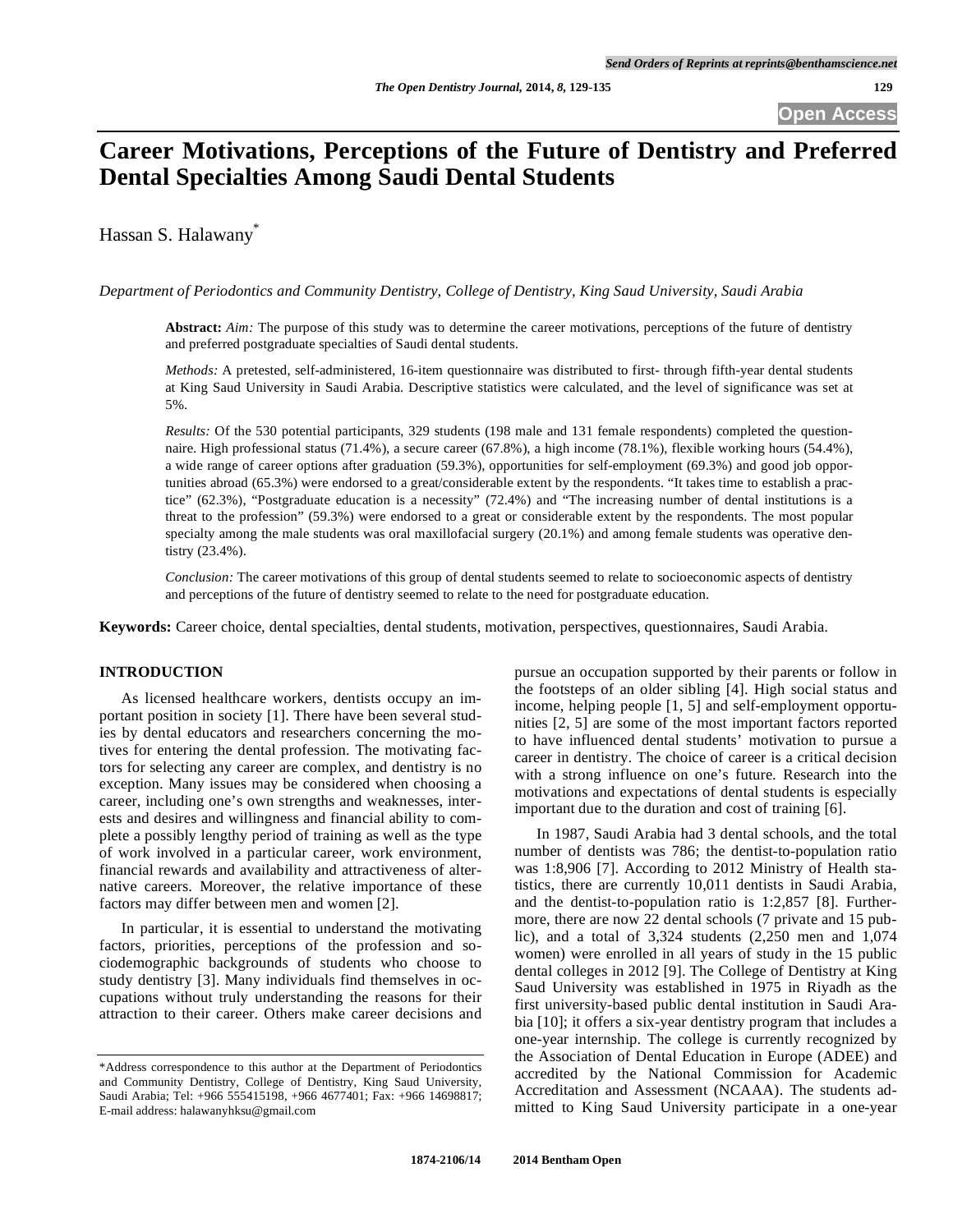# **Career Motivations, Perceptions of the Future of Dentistry and Preferred Dental Specialties Among Saudi Dental Students**

Hassan S. Halawany<sup>\*</sup>

*Department of Periodontics and Community Dentistry, College of Dentistry, King Saud University, Saudi Arabia* 

**Abstract:** *Aim:* The purpose of this study was to determine the career motivations, perceptions of the future of dentistry and preferred postgraduate specialties of Saudi dental students.

*Methods:* A pretested, self-administered, 16-item questionnaire was distributed to first- through fifth-year dental students at King Saud University in Saudi Arabia. Descriptive statistics were calculated, and the level of significance was set at 5%.

*Results:* Of the 530 potential participants, 329 students (198 male and 131 female respondents) completed the questionnaire. High professional status (71.4%), a secure career (67.8%), a high income (78.1%), flexible working hours (54.4%), a wide range of career options after graduation (59.3%), opportunities for self-employment (69.3%) and good job opportunities abroad (65.3%) were endorsed to a great/considerable extent by the respondents. "It takes time to establish a practice" (62.3%), "Postgraduate education is a necessity" (72.4%) and "The increasing number of dental institutions is a threat to the profession" (59.3%) were endorsed to a great or considerable extent by the respondents. The most popular specialty among the male students was oral maxillofacial surgery (20.1%) and among female students was operative dentistry (23.4%).

*Conclusion:* The career motivations of this group of dental students seemed to relate to socioeconomic aspects of dentistry and perceptions of the future of dentistry seemed to relate to the need for postgraduate education.

**Keywords:** Career choice, dental specialties, dental students, motivation, perspectives, questionnaires, Saudi Arabia.

# **INTRODUCTION**

As licensed healthcare workers, dentists occupy an important position in society [1]. There have been several studies by dental educators and researchers concerning the motives for entering the dental profession. The motivating factors for selecting any career are complex, and dentistry is no exception. Many issues may be considered when choosing a career, including one's own strengths and weaknesses, interests and desires and willingness and financial ability to complete a possibly lengthy period of training as well as the type of work involved in a particular career, work environment, financial rewards and availability and attractiveness of alternative careers. Moreover, the relative importance of these factors may differ between men and women [2].

In particular, it is essential to understand the motivating factors, priorities, perceptions of the profession and sociodemographic backgrounds of students who choose to study dentistry [3]. Many individuals find themselves in occupations without truly understanding the reasons for their attraction to their career. Others make career decisions and

pursue an occupation supported by their parents or follow in the footsteps of an older sibling [4]. High social status and income, helping people [1, 5] and self-employment opportunities [2, 5] are some of the most important factors reported to have influenced dental students' motivation to pursue a career in dentistry. The choice of career is a critical decision with a strong influence on one's future. Research into the motivations and expectations of dental students is especially important due to the duration and cost of training [6].

In 1987, Saudi Arabia had 3 dental schools, and the total number of dentists was 786; the dentist-to-population ratio was 1:8,906 [7]. According to 2012 Ministry of Health statistics, there are currently 10,011 dentists in Saudi Arabia, and the dentist-to-population ratio is 1:2,857 [8]. Furthermore, there are now 22 dental schools (7 private and 15 public), and a total of 3,324 students (2,250 men and 1,074 women) were enrolled in all years of study in the 15 public dental colleges in 2012 [9]. The College of Dentistry at King Saud University was established in 1975 in Riyadh as the first university-based public dental institution in Saudi Arabia [10]; it offers a six-year dentistry program that includes a one-year internship. The college is currently recognized by the Association of Dental Education in Europe (ADEE) and accredited by the National Commission for Academic Accreditation and Assessment (NCAAA). The students admitted to King Saud University participate in a one-year

<sup>\*</sup>Address correspondence to this author at the Department of Periodontics and Community Dentistry, College of Dentistry, King Saud University, Saudi Arabia; Tel: +966 555415198, +966 4677401; Fax: +966 14698817; E-mail address: halawanyhksu@gmail.com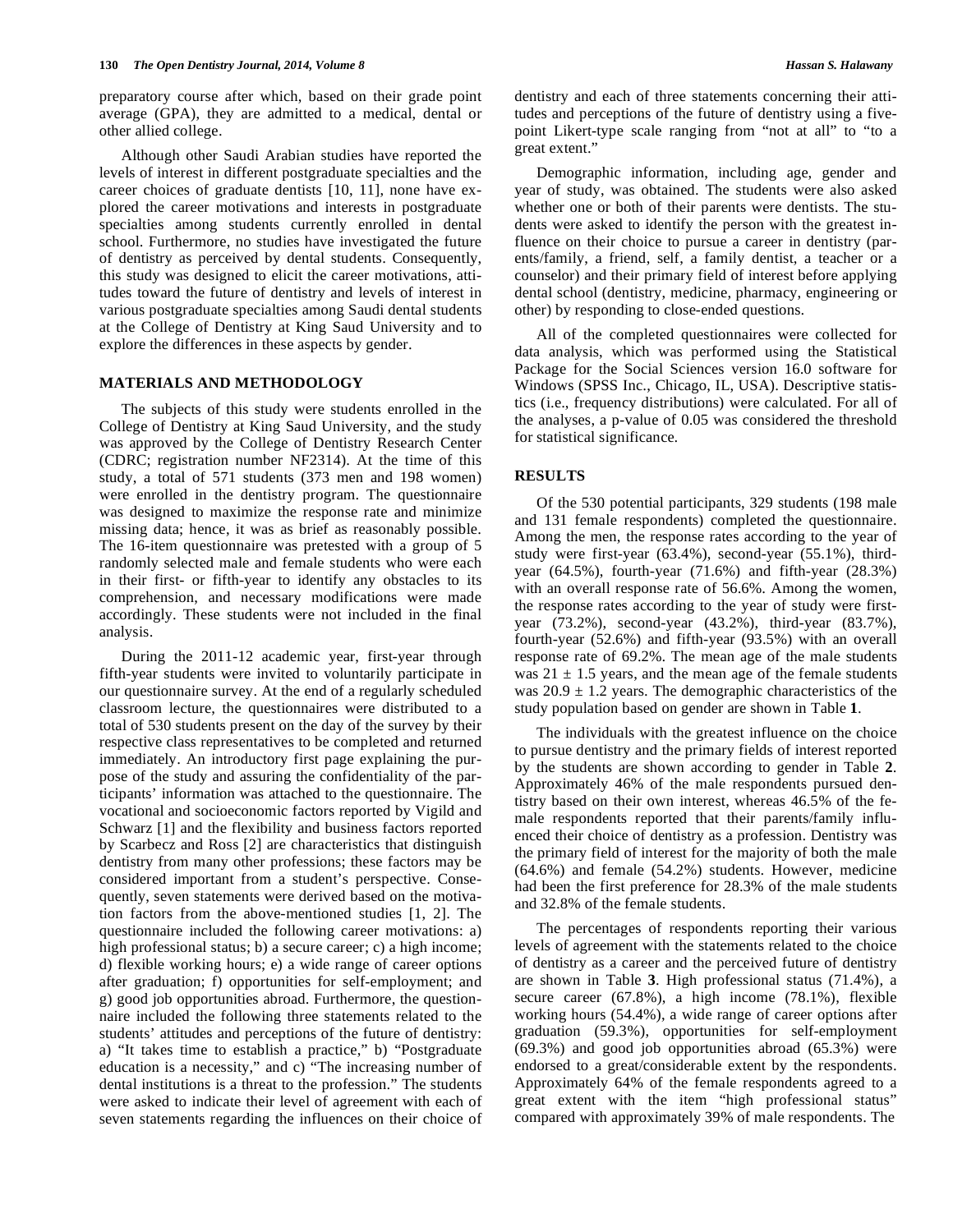preparatory course after which, based on their grade point average (GPA), they are admitted to a medical, dental or other allied college.

Although other Saudi Arabian studies have reported the levels of interest in different postgraduate specialties and the career choices of graduate dentists [10, 11], none have explored the career motivations and interests in postgraduate specialties among students currently enrolled in dental school. Furthermore, no studies have investigated the future of dentistry as perceived by dental students. Consequently, this study was designed to elicit the career motivations, attitudes toward the future of dentistry and levels of interest in various postgraduate specialties among Saudi dental students at the College of Dentistry at King Saud University and to explore the differences in these aspects by gender.

## **MATERIALS AND METHODOLOGY**

The subjects of this study were students enrolled in the College of Dentistry at King Saud University, and the study was approved by the College of Dentistry Research Center (CDRC; registration number NF2314). At the time of this study, a total of 571 students (373 men and 198 women) were enrolled in the dentistry program. The questionnaire was designed to maximize the response rate and minimize missing data; hence, it was as brief as reasonably possible. The 16-item questionnaire was pretested with a group of 5 randomly selected male and female students who were each in their first- or fifth-year to identify any obstacles to its comprehension, and necessary modifications were made accordingly. These students were not included in the final analysis.

During the 2011-12 academic year, first-year through fifth-year students were invited to voluntarily participate in our questionnaire survey. At the end of a regularly scheduled classroom lecture, the questionnaires were distributed to a total of 530 students present on the day of the survey by their respective class representatives to be completed and returned immediately. An introductory first page explaining the purpose of the study and assuring the confidentiality of the participants' information was attached to the questionnaire. The vocational and socioeconomic factors reported by Vigild and Schwarz [1] and the flexibility and business factors reported by Scarbecz and Ross [2] are characteristics that distinguish dentistry from many other professions; these factors may be considered important from a student's perspective. Consequently, seven statements were derived based on the motivation factors from the above-mentioned studies [1, 2]. The questionnaire included the following career motivations: a) high professional status; b) a secure career; c) a high income; d) flexible working hours; e) a wide range of career options after graduation; f) opportunities for self-employment; and g) good job opportunities abroad. Furthermore, the questionnaire included the following three statements related to the students' attitudes and perceptions of the future of dentistry: a) "It takes time to establish a practice," b) "Postgraduate education is a necessity," and c) "The increasing number of dental institutions is a threat to the profession." The students were asked to indicate their level of agreement with each of seven statements regarding the influences on their choice of

dentistry and each of three statements concerning their attitudes and perceptions of the future of dentistry using a fivepoint Likert-type scale ranging from "not at all" to "to a great extent."

Demographic information, including age, gender and year of study, was obtained. The students were also asked whether one or both of their parents were dentists. The students were asked to identify the person with the greatest influence on their choice to pursue a career in dentistry (parents/family, a friend, self, a family dentist, a teacher or a counselor) and their primary field of interest before applying dental school (dentistry, medicine, pharmacy, engineering or other) by responding to close-ended questions.

All of the completed questionnaires were collected for data analysis, which was performed using the Statistical Package for the Social Sciences version 16.0 software for Windows (SPSS Inc., Chicago, IL, USA). Descriptive statistics (i.e., frequency distributions) were calculated. For all of the analyses, a p-value of 0.05 was considered the threshold for statistical significance.

## **RESULTS**

Of the 530 potential participants, 329 students (198 male and 131 female respondents) completed the questionnaire. Among the men, the response rates according to the year of study were first-year (63.4%), second-year (55.1%), thirdyear (64.5%), fourth-year (71.6%) and fifth-year (28.3%) with an overall response rate of 56.6%. Among the women, the response rates according to the year of study were firstyear (73.2%), second-year (43.2%), third-year (83.7%), fourth-year (52.6%) and fifth-year (93.5%) with an overall response rate of 69.2%. The mean age of the male students was  $21 \pm 1.5$  years, and the mean age of the female students was  $20.9 \pm 1.2$  years. The demographic characteristics of the study population based on gender are shown in Table **1**.

The individuals with the greatest influence on the choice to pursue dentistry and the primary fields of interest reported by the students are shown according to gender in Table **2**. Approximately 46% of the male respondents pursued dentistry based on their own interest, whereas 46.5% of the female respondents reported that their parents/family influenced their choice of dentistry as a profession. Dentistry was the primary field of interest for the majority of both the male (64.6%) and female (54.2%) students. However, medicine had been the first preference for 28.3% of the male students and 32.8% of the female students.

The percentages of respondents reporting their various levels of agreement with the statements related to the choice of dentistry as a career and the perceived future of dentistry are shown in Table **3**. High professional status (71.4%), a secure career (67.8%), a high income (78.1%), flexible working hours (54.4%), a wide range of career options after graduation (59.3%), opportunities for self-employment (69.3%) and good job opportunities abroad (65.3%) were endorsed to a great/considerable extent by the respondents. Approximately 64% of the female respondents agreed to a great extent with the item "high professional status" compared with approximately 39% of male respondents. The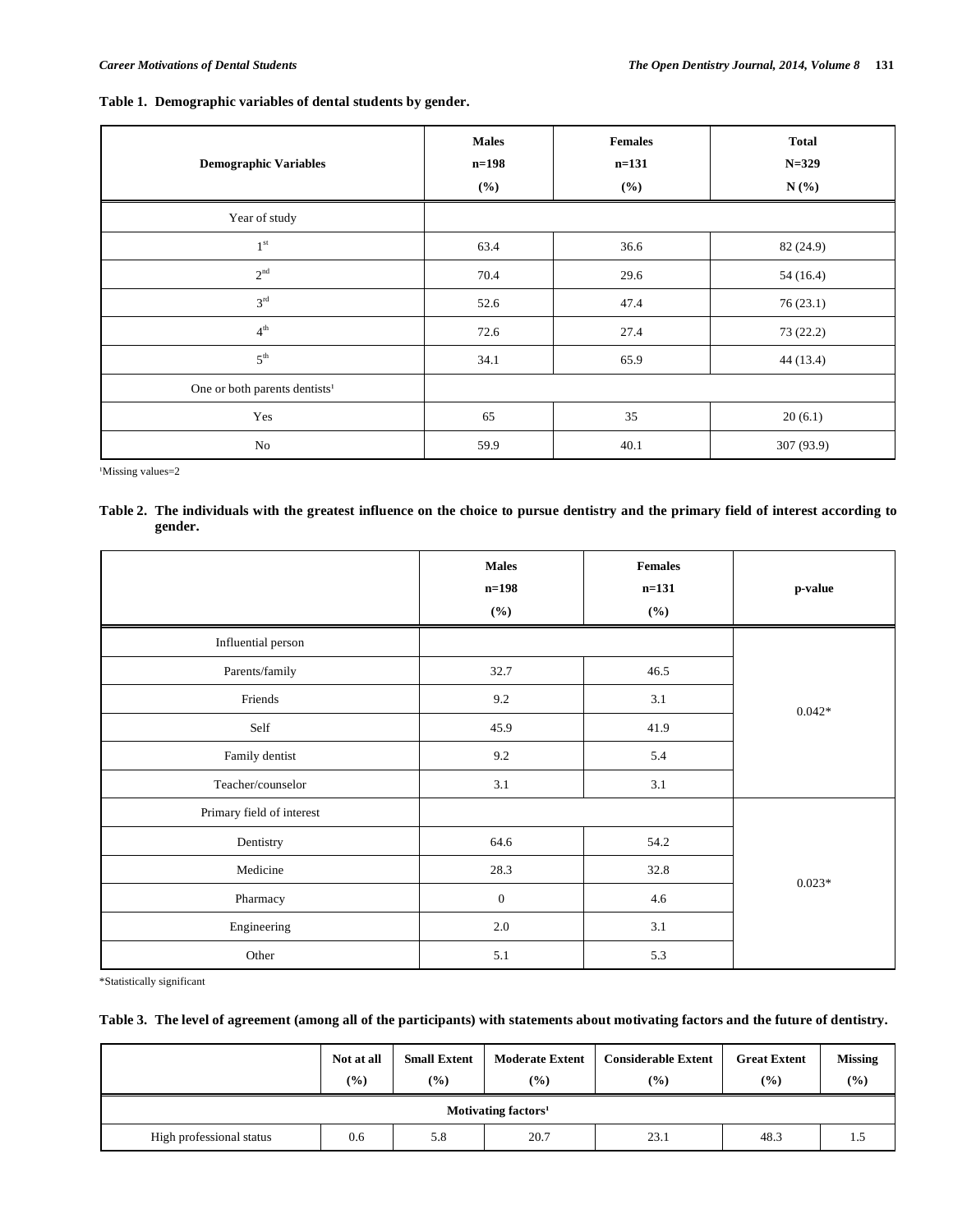| Table 1. Demographic variables of dental students by gender. |  |  |
|--------------------------------------------------------------|--|--|
|                                                              |  |  |

| <b>Demographic Variables</b>              | <b>Males</b><br>$n=198$<br>(%) | <b>Females</b><br>$n=131$<br>$(\%)$ | <b>Total</b><br>$N = 329$<br>$N(\%)$ |
|-------------------------------------------|--------------------------------|-------------------------------------|--------------------------------------|
| Year of study                             |                                |                                     |                                      |
| 1 <sup>st</sup>                           | 63.4                           | 36.6                                | 82 (24.9)                            |
| 2 <sup>nd</sup>                           | 70.4                           | 29.6                                | 54 (16.4)                            |
| 3 <sup>rd</sup>                           | 52.6                           | 47.4                                | 76(23.1)                             |
| $4^{\text{th}}$                           | 72.6                           | 27.4                                | 73 (22.2)                            |
| $5^{\rm th}$                              | 34.1                           | 65.9                                | 44 (13.4)                            |
| One or both parents dentists <sup>1</sup> |                                |                                     |                                      |
| Yes                                       | 65                             | 35                                  | 20(6.1)                              |
| No                                        | 59.9                           | 40.1                                | 307 (93.9)                           |

Missing values=2

# **Table 2. The individuals with the greatest influence on the choice to pursue dentistry and the primary field of interest according to gender.**

|                           | <b>Males</b><br>$n=198$<br>(%) | $\ensuremath{\textnormal{\textbf{F}emales}}\xspace$<br>$n=131$<br>$(\%)$ | p-value  |  |
|---------------------------|--------------------------------|--------------------------------------------------------------------------|----------|--|
| Influential person        |                                |                                                                          |          |  |
| Parents/family            | 32.7                           | 46.5                                                                     |          |  |
| Friends                   | 9.2                            | $3.1\,$                                                                  | $0.042*$ |  |
| Self                      | 45.9                           | 41.9                                                                     |          |  |
| Family dentist            | $9.2\,$                        | 5.4                                                                      |          |  |
| Teacher/counselor         | 3.1                            | $3.1\,$                                                                  |          |  |
| Primary field of interest |                                |                                                                          |          |  |
| Dentistry                 | 64.6                           | 54.2                                                                     |          |  |
| Medicine                  | 28.3                           | 32.8                                                                     | $0.023*$ |  |
| Pharmacy                  | $\overline{0}$                 | 4.6                                                                      |          |  |
| Engineering               | 2.0                            | 3.1                                                                      |          |  |
| Other                     | 5.1                            | 5.3                                                                      |          |  |

\*Statistically significant

# **Table 3. The level of agreement (among all of the participants) with statements about motivating factors and the future of dentistry.**

|                                 | Not at all<br>$(\%)$ | <b>Small Extent</b><br>(%) | <b>Moderate Extent</b><br>(%) | <b>Considerable Extent</b><br>(%) | <b>Great Extent</b><br>(%) | <b>Missing</b><br>$(\%)$ |  |
|---------------------------------|----------------------|----------------------------|-------------------------------|-----------------------------------|----------------------------|--------------------------|--|
| Motivating factors <sup>1</sup> |                      |                            |                               |                                   |                            |                          |  |
| High professional status        | 0.6                  | 5.8                        | 20.7                          | 23.1                              | 48.3                       | 1.5                      |  |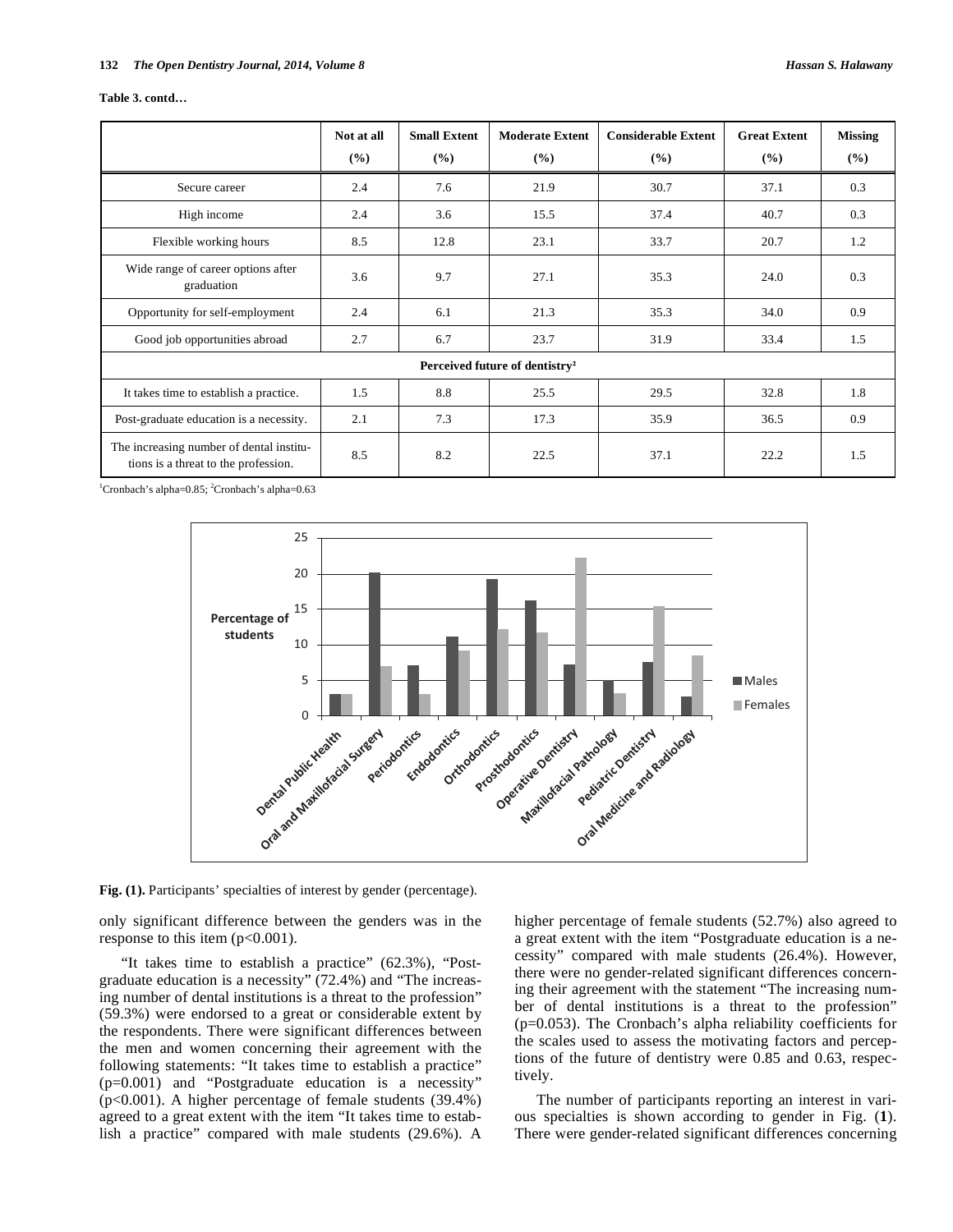#### **Table 3. contd…**

|                                                                                  | Not at all | <b>Small Extent</b> | <b>Moderate Extent</b> | <b>Considerable Extent</b> | <b>Great Extent</b> | <b>Missing</b> |  |  |
|----------------------------------------------------------------------------------|------------|---------------------|------------------------|----------------------------|---------------------|----------------|--|--|
|                                                                                  | (%)        | (%)                 | (%)                    | (%)                        | (%)                 | (%)            |  |  |
| Secure career                                                                    | 2.4        | 7.6                 | 21.9                   | 30.7                       | 37.1                | 0.3            |  |  |
| High income                                                                      | 2.4        | 3.6                 | 15.5                   | 37.4                       | 40.7                | 0.3            |  |  |
| Flexible working hours                                                           | 8.5        | 12.8                | 23.1                   | 33.7                       | 20.7                | 1.2            |  |  |
| Wide range of career options after<br>graduation                                 | 3.6        | 9.7                 | 27.1                   | 35.3                       | 24.0                | 0.3            |  |  |
| Opportunity for self-employment                                                  | 2.4        | 6.1                 | 21.3                   | 35.3                       | 34.0                | 0.9            |  |  |
| Good job opportunities abroad                                                    | 2.7        | 6.7                 | 23.7                   | 31.9                       | 33.4                | 1.5            |  |  |
| Perceived future of dentistry <sup>2</sup>                                       |            |                     |                        |                            |                     |                |  |  |
| It takes time to establish a practice.                                           | 1.5        | 8.8                 | 25.5                   | 29.5                       | 32.8                | 1.8            |  |  |
| Post-graduate education is a necessity.                                          | 2.1        | 7.3                 | 17.3                   | 35.9                       | 36.5                | 0.9            |  |  |
| The increasing number of dental institu-<br>tions is a threat to the profession. | 8.5        | 8.2                 | 22.5                   | 37.1                       | 22.2                | 1.5            |  |  |

 ${}^{1}$ Cronbach's alpha=0.85;  ${}^{2}$ Cronbach's alpha=0.63



Fig. (1). Participants' specialties of interest by gender (percentage).

only significant difference between the genders was in the response to this item  $(p<0.001)$ .

"It takes time to establish a practice" (62.3%), "Postgraduate education is a necessity" (72.4%) and "The increasing number of dental institutions is a threat to the profession" (59.3%) were endorsed to a great or considerable extent by the respondents. There were significant differences between the men and women concerning their agreement with the following statements: "It takes time to establish a practice" (p=0.001) and "Postgraduate education is a necessity" (p<0.001). A higher percentage of female students (39.4%) agreed to a great extent with the item "It takes time to establish a practice" compared with male students (29.6%). A higher percentage of female students (52.7%) also agreed to a great extent with the item "Postgraduate education is a necessity" compared with male students (26.4%). However, there were no gender-related significant differences concerning their agreement with the statement "The increasing number of dental institutions is a threat to the profession" (p=0.053). The Cronbach's alpha reliability coefficients for the scales used to assess the motivating factors and perceptions of the future of dentistry were 0.85 and 0.63, respectively.

The number of participants reporting an interest in various specialties is shown according to gender in Fig. (**1**). There were gender-related significant differences concerning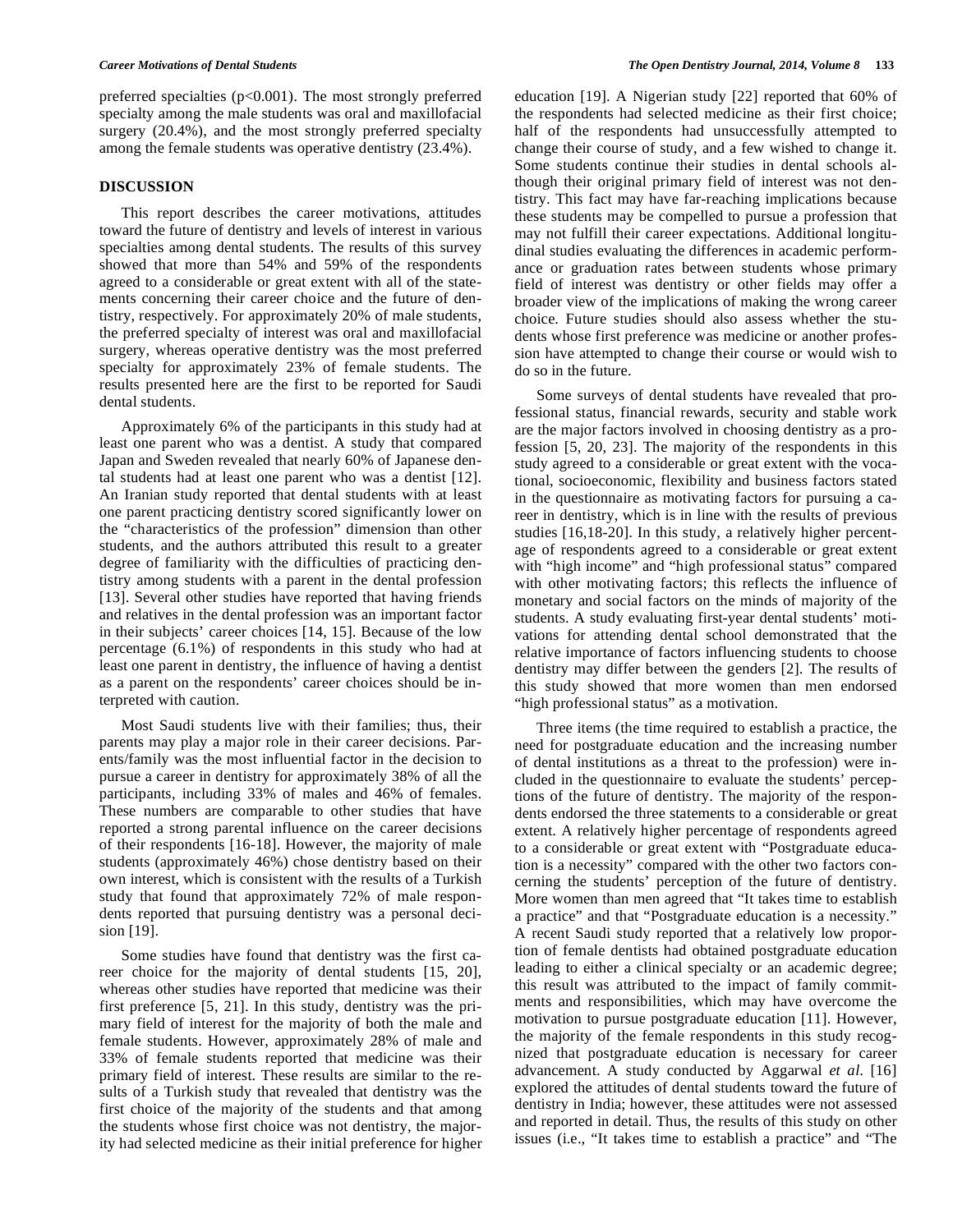preferred specialties  $(p<0.001)$ . The most strongly preferred specialty among the male students was oral and maxillofacial surgery (20.4%), and the most strongly preferred specialty among the female students was operative dentistry (23.4%).

# **DISCUSSION**

This report describes the career motivations, attitudes toward the future of dentistry and levels of interest in various specialties among dental students. The results of this survey showed that more than 54% and 59% of the respondents agreed to a considerable or great extent with all of the statements concerning their career choice and the future of dentistry, respectively. For approximately 20% of male students, the preferred specialty of interest was oral and maxillofacial surgery, whereas operative dentistry was the most preferred specialty for approximately 23% of female students. The results presented here are the first to be reported for Saudi dental students.

Approximately 6% of the participants in this study had at least one parent who was a dentist. A study that compared Japan and Sweden revealed that nearly 60% of Japanese dental students had at least one parent who was a dentist [12]. An Iranian study reported that dental students with at least one parent practicing dentistry scored significantly lower on the "characteristics of the profession" dimension than other students, and the authors attributed this result to a greater degree of familiarity with the difficulties of practicing dentistry among students with a parent in the dental profession [13]. Several other studies have reported that having friends and relatives in the dental profession was an important factor in their subjects' career choices [14, 15]. Because of the low percentage (6.1%) of respondents in this study who had at least one parent in dentistry, the influence of having a dentist as a parent on the respondents' career choices should be interpreted with caution.

Most Saudi students live with their families; thus, their parents may play a major role in their career decisions. Parents/family was the most influential factor in the decision to pursue a career in dentistry for approximately 38% of all the participants, including 33% of males and 46% of females. These numbers are comparable to other studies that have reported a strong parental influence on the career decisions of their respondents [16-18]. However, the majority of male students (approximately 46%) chose dentistry based on their own interest, which is consistent with the results of a Turkish study that found that approximately 72% of male respondents reported that pursuing dentistry was a personal decision [19].

Some studies have found that dentistry was the first career choice for the majority of dental students [15, 20], whereas other studies have reported that medicine was their first preference [5, 21]. In this study, dentistry was the primary field of interest for the majority of both the male and female students. However, approximately 28% of male and 33% of female students reported that medicine was their primary field of interest. These results are similar to the results of a Turkish study that revealed that dentistry was the first choice of the majority of the students and that among the students whose first choice was not dentistry, the majority had selected medicine as their initial preference for higher education [19]. A Nigerian study [22] reported that 60% of the respondents had selected medicine as their first choice; half of the respondents had unsuccessfully attempted to change their course of study, and a few wished to change it. Some students continue their studies in dental schools although their original primary field of interest was not dentistry. This fact may have far-reaching implications because these students may be compelled to pursue a profession that may not fulfill their career expectations. Additional longitudinal studies evaluating the differences in academic performance or graduation rates between students whose primary field of interest was dentistry or other fields may offer a broader view of the implications of making the wrong career choice. Future studies should also assess whether the students whose first preference was medicine or another profession have attempted to change their course or would wish to do so in the future.

Some surveys of dental students have revealed that professional status, financial rewards, security and stable work are the major factors involved in choosing dentistry as a profession [5, 20, 23]. The majority of the respondents in this study agreed to a considerable or great extent with the vocational, socioeconomic, flexibility and business factors stated in the questionnaire as motivating factors for pursuing a career in dentistry, which is in line with the results of previous studies [16,18-20]. In this study, a relatively higher percentage of respondents agreed to a considerable or great extent with "high income" and "high professional status" compared with other motivating factors; this reflects the influence of monetary and social factors on the minds of majority of the students. A study evaluating first-year dental students' motivations for attending dental school demonstrated that the relative importance of factors influencing students to choose dentistry may differ between the genders [2]. The results of this study showed that more women than men endorsed "high professional status" as a motivation.

Three items (the time required to establish a practice, the need for postgraduate education and the increasing number of dental institutions as a threat to the profession) were included in the questionnaire to evaluate the students' perceptions of the future of dentistry. The majority of the respondents endorsed the three statements to a considerable or great extent. A relatively higher percentage of respondents agreed to a considerable or great extent with "Postgraduate education is a necessity" compared with the other two factors concerning the students' perception of the future of dentistry. More women than men agreed that "It takes time to establish a practice" and that "Postgraduate education is a necessity." A recent Saudi study reported that a relatively low proportion of female dentists had obtained postgraduate education leading to either a clinical specialty or an academic degree; this result was attributed to the impact of family commitments and responsibilities, which may have overcome the motivation to pursue postgraduate education [11]. However, the majority of the female respondents in this study recognized that postgraduate education is necessary for career advancement. A study conducted by Aggarwal *et al*. [16] explored the attitudes of dental students toward the future of dentistry in India; however, these attitudes were not assessed and reported in detail. Thus, the results of this study on other issues (i.e., "It takes time to establish a practice" and "The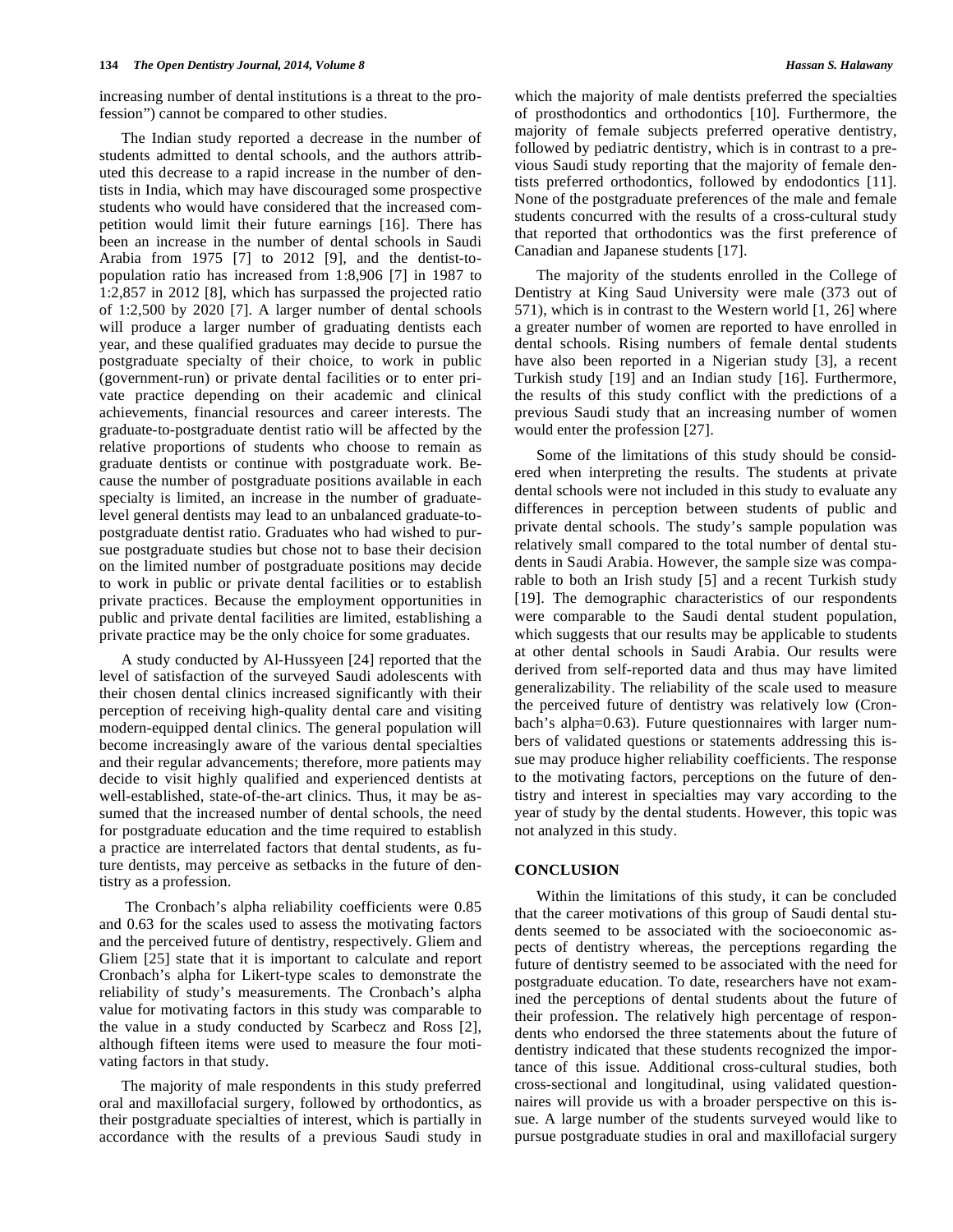increasing number of dental institutions is a threat to the profession") cannot be compared to other studies.

The Indian study reported a decrease in the number of students admitted to dental schools, and the authors attributed this decrease to a rapid increase in the number of dentists in India, which may have discouraged some prospective students who would have considered that the increased competition would limit their future earnings [16]. There has been an increase in the number of dental schools in Saudi Arabia from 1975 [7] to 2012 [9], and the dentist-topopulation ratio has increased from 1:8,906 [7] in 1987 to 1:2,857 in 2012 [8], which has surpassed the projected ratio of 1:2,500 by 2020 [7]. A larger number of dental schools will produce a larger number of graduating dentists each year, and these qualified graduates may decide to pursue the postgraduate specialty of their choice, to work in public (government-run) or private dental facilities or to enter private practice depending on their academic and clinical achievements, financial resources and career interests. The graduate-to-postgraduate dentist ratio will be affected by the relative proportions of students who choose to remain as graduate dentists or continue with postgraduate work. Because the number of postgraduate positions available in each specialty is limited, an increase in the number of graduatelevel general dentists may lead to an unbalanced graduate-topostgraduate dentist ratio. Graduates who had wished to pursue postgraduate studies but chose not to base their decision on the limited number of postgraduate positions may decide to work in public or private dental facilities or to establish private practices. Because the employment opportunities in public and private dental facilities are limited, establishing a private practice may be the only choice for some graduates.

A study conducted by Al-Hussyeen [24] reported that the level of satisfaction of the surveyed Saudi adolescents with their chosen dental clinics increased significantly with their perception of receiving high-quality dental care and visiting modern-equipped dental clinics. The general population will become increasingly aware of the various dental specialties and their regular advancements; therefore, more patients may decide to visit highly qualified and experienced dentists at well-established, state-of-the-art clinics. Thus, it may be assumed that the increased number of dental schools, the need for postgraduate education and the time required to establish a practice are interrelated factors that dental students, as future dentists, may perceive as setbacks in the future of dentistry as a profession.

 The Cronbach's alpha reliability coefficients were 0.85 and 0.63 for the scales used to assess the motivating factors and the perceived future of dentistry, respectively. Gliem and Gliem [25] state that it is important to calculate and report Cronbach's alpha for Likert-type scales to demonstrate the reliability of study's measurements. The Cronbach's alpha value for motivating factors in this study was comparable to the value in a study conducted by Scarbecz and Ross [2], although fifteen items were used to measure the four motivating factors in that study.

The majority of male respondents in this study preferred oral and maxillofacial surgery, followed by orthodontics, as their postgraduate specialties of interest, which is partially in accordance with the results of a previous Saudi study in which the majority of male dentists preferred the specialties of prosthodontics and orthodontics [10]. Furthermore, the majority of female subjects preferred operative dentistry, followed by pediatric dentistry, which is in contrast to a previous Saudi study reporting that the majority of female dentists preferred orthodontics, followed by endodontics [11]. None of the postgraduate preferences of the male and female students concurred with the results of a cross-cultural study that reported that orthodontics was the first preference of Canadian and Japanese students [17].

The majority of the students enrolled in the College of Dentistry at King Saud University were male (373 out of 571), which is in contrast to the Western world [1, 26] where a greater number of women are reported to have enrolled in dental schools. Rising numbers of female dental students have also been reported in a Nigerian study [3], a recent Turkish study [19] and an Indian study [16]. Furthermore, the results of this study conflict with the predictions of a previous Saudi study that an increasing number of women would enter the profession [27].

Some of the limitations of this study should be considered when interpreting the results. The students at private dental schools were not included in this study to evaluate any differences in perception between students of public and private dental schools. The study's sample population was relatively small compared to the total number of dental students in Saudi Arabia. However, the sample size was comparable to both an Irish study [5] and a recent Turkish study [19]. The demographic characteristics of our respondents were comparable to the Saudi dental student population, which suggests that our results may be applicable to students at other dental schools in Saudi Arabia. Our results were derived from self-reported data and thus may have limited generalizability. The reliability of the scale used to measure the perceived future of dentistry was relatively low (Cronbach's alpha=0.63). Future questionnaires with larger numbers of validated questions or statements addressing this issue may produce higher reliability coefficients. The response to the motivating factors, perceptions on the future of dentistry and interest in specialties may vary according to the year of study by the dental students. However, this topic was not analyzed in this study.

# **CONCLUSION**

Within the limitations of this study, it can be concluded that the career motivations of this group of Saudi dental students seemed to be associated with the socioeconomic aspects of dentistry whereas, the perceptions regarding the future of dentistry seemed to be associated with the need for postgraduate education. To date, researchers have not examined the perceptions of dental students about the future of their profession. The relatively high percentage of respondents who endorsed the three statements about the future of dentistry indicated that these students recognized the importance of this issue. Additional cross-cultural studies, both cross-sectional and longitudinal, using validated questionnaires will provide us with a broader perspective on this issue. A large number of the students surveyed would like to pursue postgraduate studies in oral and maxillofacial surgery